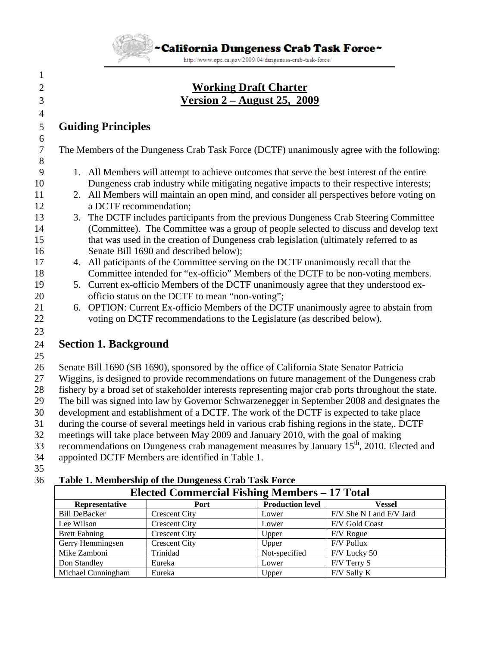~California Dungeness Crab Task Force~

http://www.opc.ca.gov/2009/04/dungeness-crab-task-force/

## 2 **Working Draft Charter** 3 **Version 2 – August 25, 2009**

## 5 **Guiding Principles**

7 The Members of the Dungeness Crab Task Force (DCTF) unanimously agree with the following:

- 9 1. All Members will attempt to achieve outcomes that serve the best interest of the entire 10 Dungeness crab industry while mitigating negative impacts to their respective interests;
- 11 2. All Members will maintain an open mind, and consider all perspectives before voting on 12 a DCTF recommendation;
- 13 3. The DCTF includes participants from the previous Dungeness Crab Steering Committee 14 (Committee). The Committee was a group of people selected to discuss and develop text 15 that was used in the creation of Dungeness crab legislation (ultimately referred to as 16 Senate Bill 1690 and described below);
- 17 4. All paticipants of the Committee serving on the DCTF unanimously recall that the 18 Committee intended for "ex-officio" Members of the DCTF to be non-voting members.
- 19 5. Current ex-officio Members of the DCTF unanimously agree that they understood ex-20 officio status on the DCTF to mean "non-voting";
- 21 6. OPTION: Current Ex-officio Members of the DCTF unanimously agree to abstain from 22 voting on DCTF recommendations to the Legislature (as described below).
- 23

1

4

6

8

# 24 **Section 1. Background**

25

26 Senate Bill 1690 (SB 1690), sponsored by the office of California State Senator Patricia 27 Wiggins, is designed to provide recommendations on future management of the Dungeness crab 28 fishery by a broad set of stakeholder interests representing major crab ports throughout the state. 29 The bill was signed into law by Governor Schwarzenegger in September 2008 and designates the 30 development and establishment of a DCTF. The work of the DCTF is expected to take place 31 during the course of several meetings held in various crab fishing regions in the state,. DCTF 32 meetings will take place between May 2009 and January 2010, with the goal of making 33 recommendations on Dungeness crab management measures by January 15<sup>th</sup>, 2010. Elected and 34 appointed DCTF Members are identified in Table 1.

35

#### 36 **Table 1. Membership of the Dungeness Crab Task Force**

| <b>Elected Commercial Fishing Members – 17 Total</b> |                      |                         |                          |
|------------------------------------------------------|----------------------|-------------------------|--------------------------|
| Representative                                       | <b>Port</b>          | <b>Production level</b> | Vessel                   |
| <b>Bill DeBacker</b>                                 | <b>Crescent City</b> | Lower                   | F/V She N I and F/V Jard |
| Lee Wilson                                           | <b>Crescent City</b> | Lower                   | F/V Gold Coast           |
| <b>Brett Fahning</b>                                 | <b>Crescent City</b> | Upper                   | F/V Rogue                |
| Gerry Hemmingsen                                     | <b>Crescent City</b> | Upper                   | F/V Pollux               |
| Mike Zamboni                                         | Trinidad             | Not-specified           | F/V Lucky 50             |
| Don Standley                                         | Eureka               | Lower                   | $F/V$ Terry S            |
| Michael Cunningham                                   | Eureka               | Upper                   | F/V Sally K              |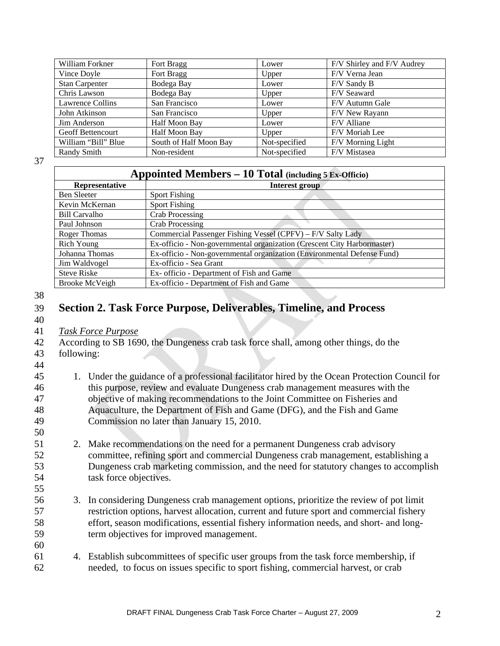| William Forkner          | Fort Bragg             | Lower         | F/V Shirley and F/V Audrey |
|--------------------------|------------------------|---------------|----------------------------|
| Vince Doyle              | Fort Bragg             | Upper         | F/V Verna Jean             |
| <b>Stan Carpenter</b>    | Bodega Bay             | Lower         | F/V Sandy B                |
| Chris Lawson             | Bodega Bay             | Upper         | F/V Seaward                |
| Lawrence Collins         | San Francisco          | Lower         | F/V Autumn Gale            |
| John Atkinson            | San Francisco          | Upper         | F/V New Rayann             |
| Jim Anderson             | Half Moon Bay          | Lower         | F/V Alliane                |
| <b>Geoff Bettencourt</b> | Half Moon Bay          | Upper         | F/V Moriah Lee             |
| William "Bill" Blue      | South of Half Moon Bay | Not-specified | F/V Morning Light          |
| Randy Smith              | Non-resident           | Not-specified | F/V Mistasea               |

37

| <b>Appointed Members – 10 Total</b> (including $5 \text{ Ex-Officio}$ ) |                                                                         |  |  |
|-------------------------------------------------------------------------|-------------------------------------------------------------------------|--|--|
| <b>Representative</b>                                                   | Interest group                                                          |  |  |
| <b>Ben Sleeter</b>                                                      | <b>Sport Fishing</b>                                                    |  |  |
| Kevin McKernan                                                          | <b>Sport Fishing</b>                                                    |  |  |
| <b>Bill Carvalho</b>                                                    | <b>Crab Processing</b>                                                  |  |  |
| Paul Johnson                                                            | Crab Processing                                                         |  |  |
| Roger Thomas                                                            | Commercial Passenger Fishing Vessel (CPFV) - F/V Salty Lady             |  |  |
| Rich Young                                                              | Ex-officio - Non-governmental organization (Crescent City Harbormaster) |  |  |
| Johanna Thomas                                                          | Ex-officio - Non-governmental organization (Environmental Defense Fund) |  |  |
| Jim Waldvogel                                                           | Ex-officio - Sea Grant                                                  |  |  |
| <b>Steve Riske</b>                                                      | Ex- officio - Department of Fish and Game                               |  |  |
| Brooke McVeigh                                                          | Ex-officio - Department of Fish and Game                                |  |  |

38

#### 39 **Section 2. Task Force Purpose, Deliverables, Timeline, and Process**

40 41 *Task Force Purpose*

42 According to SB 1690, the Dungeness crab task force shall, among other things, do the

- 43 following:
- 44

50

55

60

- 45 1. Under the guidance of a professional facilitator hired by the Ocean Protection Council for 46 this purpose, review and evaluate Dungeness crab management measures with the 47 objective of making recommendations to the Joint Committee on Fisheries and 48 Aquaculture, the Department of Fish and Game (DFG), and the Fish and Game 49 Commission no later than January 15, 2010.
- 51 2. Make recommendations on the need for a permanent Dungeness crab advisory 52 committee, refining sport and commercial Dungeness crab management, establishing a 53 Dungeness crab marketing commission, and the need for statutory changes to accomplish 54 task force objectives.
- 56 3. In considering Dungeness crab management options, prioritize the review of pot limit 57 restriction options, harvest allocation, current and future sport and commercial fishery 58 effort, season modifications, essential fishery information needs, and short- and long-59 term objectives for improved management.
- 61 4. Establish subcommittees of specific user groups from the task force membership, if 62 needed, to focus on issues specific to sport fishing, commercial harvest, or crab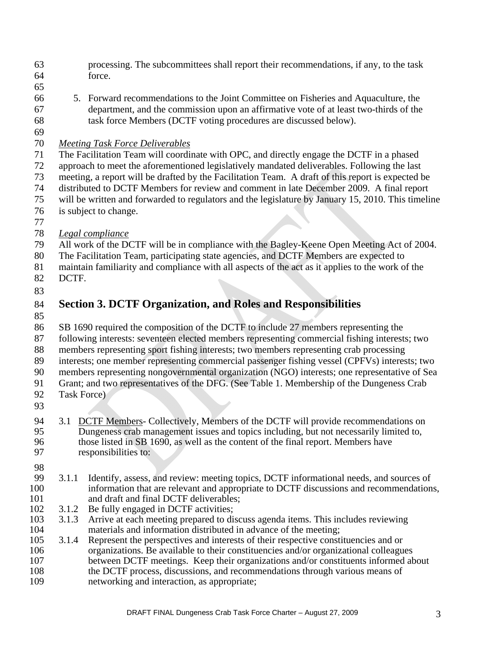- 63 processing. The subcommittees shall report their recommendations, if any, to the task 64 force.
- 65
- 66 5. Forward recommendations to the Joint Committee on Fisheries and Aquaculture, the 67 department, and the commission upon an affirmative vote of at least two-thirds of the 68 task force Members (DCTF voting procedures are discussed below).
- 69

#### 70 *Meeting Task Force Deliverables*

71 The Facilitation Team will coordinate with OPC, and directly engage the DCTF in a phased

- 72 approach to meet the aforementioned legislatively mandated deliverables. Following the last
- 73 meeting, a report will be drafted by the Facilitation Team. A draft of this report is expected be
- 74 distributed to DCTF Members for review and comment in late December 2009. A final report
- 75 will be written and forwarded to regulators and the legislature by January 15, 2010. This timeline
- 76 is subject to change.
- 77
- 78 *Legal compliance*
- 79 All work of the DCTF will be in compliance with the Bagley-Keene Open Meeting Act of 2004.
- 80 The Facilitation Team, participating state agencies, and DCTF Members are expected to
- 81 maintain familiarity and compliance with all aspects of the act as it applies to the work of the
- 82 DCTF.
- 83

# 84 **Section 3. DCTF Organization, and Roles and Responsibilities**

85

86 SB 1690 required the composition of the DCTF to include 27 members representing the

- 87 following interests: seventeen elected members representing commercial fishing interests; two
- 88 members representing sport fishing interests; two members representing crab processing
- 89 interests; one member representing commercial passenger fishing vessel (CPFVs) interests; two
- 90 members representing nongovernmental organization (NGO) interests; one representative of Sea
- 91 Grant; and two representatives of the DFG. (See Table 1. Membership of the Dungeness Crab
- 92 Task Force)
- 93
- 94 3.1 DCTF Members- Collectively, Members of the DCTF will provide recommendations on<br>95 Dungeness crab management issues and topics including, but not necessarily limited to. Dungeness crab management issues and topics including, but not necessarily limited to, 96 those listed in SB 1690, as well as the content of the final report. Members have 97 responsibilities to:
- 98
- 99 3.1.1 Identify, assess, and review: meeting topics, DCTF informational needs, and sources of 100 information that are relevant and appropriate to DCTF discussions and recommendations, 101 and draft and final DCTF deliverables;
- 102 3.1.2 Be fully engaged in DCTF activities;
- 103 3.1.3 Arrive at each meeting prepared to discuss agenda items. This includes reviewing 104 materials and information distributed in advance of the meeting;
- 105 3.1.4 Represent the perspectives and interests of their respective constituencies and or 106 organizations. Be available to their constituencies and/or organizational colleagues 107 between DCTF meetings. Keep their organizations and/or constituents informed about 108 the DCTF process, discussions, and recommendations through various means of 109 networking and interaction, as appropriate;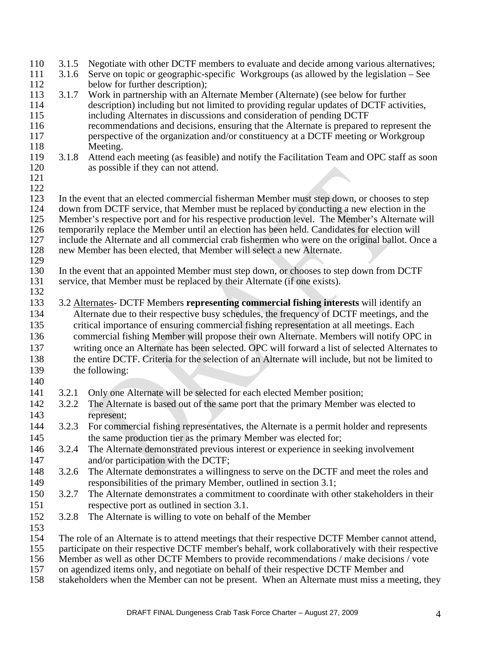| 110        | 3.1.5 | Negotiate with other DCTF members to evaluate and decide among various alternatives;             |
|------------|-------|--------------------------------------------------------------------------------------------------|
| 111        | 3.1.6 | Serve on topic or geographic-specific Workgroups (as allowed by the legislation – See            |
| 112        |       | below for further description);                                                                  |
| 113        | 3.1.7 | Work in partnership with an Alternate Member (Alternate) (see below for further                  |
| 114        |       | description) including but not limited to providing regular updates of DCTF activities,          |
| 115        |       | including Alternates in discussions and consideration of pending DCTF                            |
| 116        |       | recommendations and decisions, ensuring that the Alternate is prepared to represent the          |
| 117        |       | perspective of the organization and/or constituency at a DCTF meeting or Workgroup               |
| 118        |       | Meeting.                                                                                         |
| 119        | 3.1.8 | Attend each meeting (as feasible) and notify the Facilitation Team and OPC staff as soon         |
| 120        |       | as possible if they can not attend.                                                              |
| 121        |       |                                                                                                  |
| 122        |       |                                                                                                  |
| 123        |       | In the event that an elected commercial fisherman Member must step down, or chooses to step      |
| 124        |       | down from DCTF service, that Member must be replaced by conducting a new election in the         |
| 125        |       | Member's respective port and for his respective production level. The Member's Alternate will    |
| 126        |       | temporarily replace the Member until an election has been held. Candidates for election will     |
| 127        |       | include the Alternate and all commercial crab fishermen who were on the original ballot. Once a  |
| 128        |       | new Member has been elected, that Member will select a new Alternate.                            |
| 129<br>130 |       | In the event that an appointed Member must step down, or chooses to step down from DCTF          |
| 131        |       | service, that Member must be replaced by their Alternate (if one exists).                        |
| 132        |       |                                                                                                  |
| 133        |       | 3.2 Alternates- DCTF Members representing commercial fishing interests will identify an          |
| 134        |       | Alternate due to their respective busy schedules, the frequency of DCTF meetings, and the        |
| 135        |       | critical importance of ensuring commercial fishing representation at all meetings. Each          |
| 136        |       |                                                                                                  |
|            |       | commercial fishing Member will propose their own Alternate. Members will notify OPC in           |
| 137        |       | writing once an Alternate has been selected. OPC will forward a list of selected Alternates to   |
| 138        |       | the entire DCTF. Criteria for the selection of an Alternate will include, but not be limited to  |
| 139        |       | the following:                                                                                   |
| 140        |       |                                                                                                  |
| 141        | 3.2.1 | Only one Alternate will be selected for each elected Member position;                            |
| 142        | 3.2.2 | The Alternate is based out of the same port that the primary Member was elected to               |
| 143        |       | represent;                                                                                       |
| 144        |       | 3.2.3 For commercial fishing representatives, the Alternate is a permit holder and represents    |
| 145        |       | the same production tier as the primary Member was elected for;                                  |
| 146        | 3.2.4 | The Alternate demonstrated previous interest or experience in seeking involvement                |
| 147        |       | and/or participation with the DCTF;                                                              |
| 148        | 3.2.6 | The Alternate demonstrates a willingness to serve on the DCTF and meet the roles and             |
| 149        |       | responsibilities of the primary Member, outlined in section 3.1;                                 |
| 150        | 3.2.7 | The Alternate demonstrates a commitment to coordinate with other stakeholders in their           |
| 151        |       | respective port as outlined in section 3.1.                                                      |
| 152        | 3.2.8 | The Alternate is willing to vote on behalf of the Member                                         |
| 153        |       |                                                                                                  |
| 154        |       | The role of an Alternate is to attend meetings that their respective DCTF Member cannot attend,  |
| 155        |       | participate on their respective DCTF member's behalf, work collaboratively with their respective |
| 156        |       | Member as well as other DCTF Members to provide recommendations / make decisions / vote          |
| 157        |       | on agendized items only, and negotiate on behalf of their respective DCTF Member and             |
| 158        |       | stakeholders when the Member can not be present. When an Alternate must miss a meeting, they     |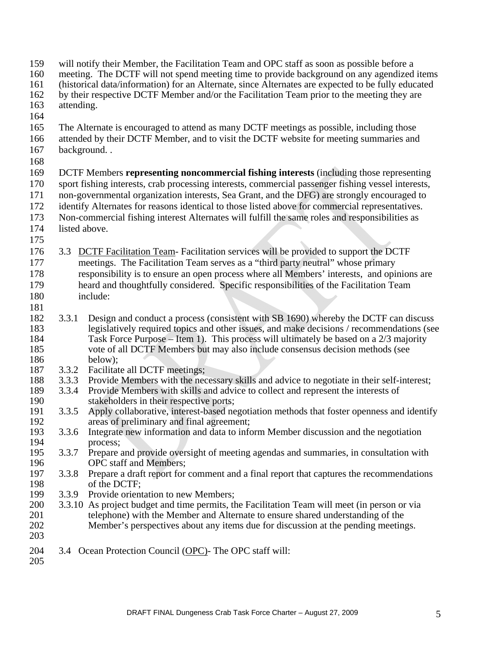159 will notify their Member, the Facilitation Team and OPC staff as soon as possible before a 160 meeting. The DCTF will not spend meeting time to provide background on any agendized items 161 (historical data/information) for an Alternate, since Alternates are expected to be fully educated 162 by their respective DCTF Member and/or the Facilitation Team prior to the meeting they are 163 attending. 164 165 The Alternate is encouraged to attend as many DCTF meetings as possible, including those 166 attended by their DCTF Member, and to visit the DCTF website for meeting summaries and 167 background. . 168 169 DCTF Members **representing noncommercial fishing interests** (including those representing 170 sport fishing interests, crab processing interests, commercial passenger fishing vessel interests, 171 non-governmental organization interests, Sea Grant, and the DFG) are strongly encouraged to 172 identify Alternates for reasons identical to those listed above for commercial representatives. 173 Non-commercial fishing interest Alternates will fulfill the same roles and responsibilities as 174 listed above. 175 176 3.3 DCTF Facilitation Team- Facilitation services will be provided to support the DCTF 177 meetings. The Facilitation Team serves as a "third party neutral" whose primary 178 responsibility is to ensure an open process where all Members' interests, and opinions are 179 heard and thoughtfully considered. Specific responsibilities of the Facilitation Team 180 include: 181 182 3.3.1 Design and conduct a process (consistent with SB 1690) whereby the DCTF can discuss 183 legislatively required topics and other issues, and make decisions / recommendations (see 184 Task Force Purpose – Item 1). This process will ultimately be based on a 2/3 majority<br>185 vote of all DCTF Members but may also include consensus decision methods (see vote of all DCTF Members but may also include consensus decision methods (see 186 below);<br>187 3.3.2 Facilitat 3.3.2 Facilitate all DCTF meetings; 188 3.3.3 Provide Members with the necessary skills and advice to negotiate in their self-interest;<br>189 3.3.4 Provide Members with skills and advice to collect and represent the interests of 189 3.3.4 Provide Members with skills and advice to collect and represent the interests of 190 stakeholders in their respective ports; 191 3.3.5 Apply collaborative, interest-based negotiation methods that foster openness and identify 192 areas of preliminary and final agreement; 193 3.3.6 Integrate new information and data to inform Member discussion and the negotiation 194 process; 195 3.3.7 Prepare and provide oversight of meeting agendas and summaries, in consultation with 196 OPC staff and Members;<br>197 3.3.8 Prepare a draft report for 197 3.3.8 Prepare a draft report for comment and a final report that captures the recommendations 198 of the DCTF;<br>199 3.3.9 Provide orient 3.3.9 Provide orientation to new Members; 200 3.3.10 As project budget and time permits, the Facilitation Team will meet (in person or via telephone) with the Member and Alternate to ensure shared understanding of the 201 telephone) with the Member and Alternate to ensure shared understanding of the<br>202 Member's perspectives about any items due for discussion at the pending meeting Member's perspectives about any items due for discussion at the pending meetings. 203 204 3.4 Ocean Protection Council (OPC)- The OPC staff will: 205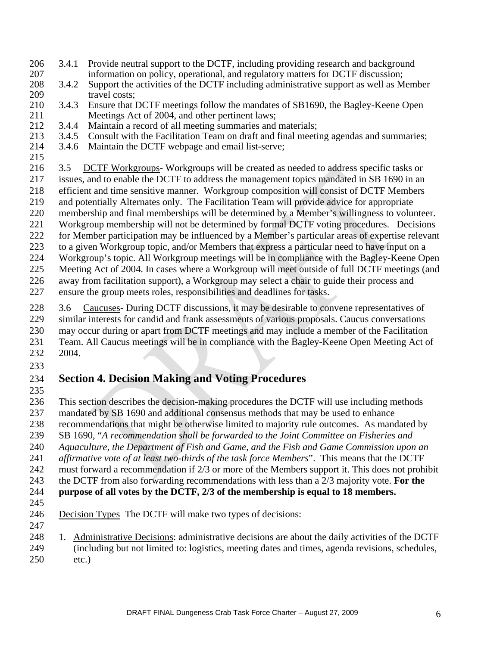- 206 3.4.1 Provide neutral support to the DCTF, including providing research and background 207 information on policy, operational, and regulatory matters for DCTF discussion;
- 208 3.4.2 Support the activities of the DCTF including administrative support as well as Member 209 travel costs:
- 210 3.4.3 Ensure that DCTF meetings follow the mandates of SB1690, the Bagley-Keene Open 211 Meetings Act of 2004, and other pertinent laws;
- 212 3.4.4 Maintain a record of all meeting summaries and materials;
- 213 3.4.5 Consult with the Facilitation Team on draft and final meeting agendas and summaries;
- 214 3.4.6 Maintain the DCTF webpage and email list-serve; 215
- 216 3.5 DCTF Workgroups-Workgroups will be created as needed to address specific tasks or 217 issues, and to enable the DCTF to address the management topics mandated in SB 1690 in an 218 efficient and time sensitive manner. Workgroup composition will consist of DCTF Members 219 and potentially Alternates only. The Facilitation Team will provide advice for appropriate 220 membership and final memberships will be determined by a Member's willingness to volunteer. 221 Workgroup membership will not be determined by formal DCTF voting procedures. Decisions 222 for Member participation may be influenced by a Member's particular areas of expertise relevant 223 to a given Workgroup topic, and/or Members that express a particular need to have input on a 224 Workgroup's topic. All Workgroup meetings will be in compliance with the Bagley-Keene Open 225 Meeting Act of 2004. In cases where a Workgroup will meet outside of full DCTF meetings (and 226 away from facilitation support), a Workgroup may select a chair to guide their process and
- 227 ensure the group meets roles, responsibilities and deadlines for tasks.
- 228 3.6 Caucuses- During DCTF discussions, it may be desirable to convene representatives of 229 similar interests for candid and frank assessments of various proposals. Caucus conversations 230 may occur during or apart from DCTF meetings and may include a member of the Facilitation 231 Team. All Caucus meetings will be in compliance with the Bagley-Keene Open Meeting Act of 232 2004.
- 233

## 234 **Section 4. Decision Making and Voting Procedures**

235

236 This section describes the decision-making procedures the DCTF will use including methods

- 237 mandated by SB 1690 and additional consensus methods that may be used to enhance
- 238 recommendations that might be otherwise limited to majority rule outcomes. As mandated by
- 239 SB 1690, "*A recommendation shall be forwarded to the Joint Committee on Fisheries and*
- 240 *Aquaculture, the Department of Fish and Game, and the Fish and Game Commission upon an*
- 241 *affirmative vote of at least two-thirds of the task force Members*". This means that the DCTF
- 242 must forward a recommendation if 2/3 or more of the Members support it. This does not prohibit
- 243 the DCTF from also forwarding recommendations with less than a 2/3 majority vote. **For the**
- 244 **purpose of all votes by the DCTF, 2/3 of the membership is equal to 18 members.**
- 245
- 246 Decision Types The DCTF will make two types of decisions: 247
- 248 1. Administrative Decisions: administrative decisions are about the daily activities of the DCTF
- 249 (including but not limited to: logistics, meeting dates and times, agenda revisions, schedules, 250 etc.)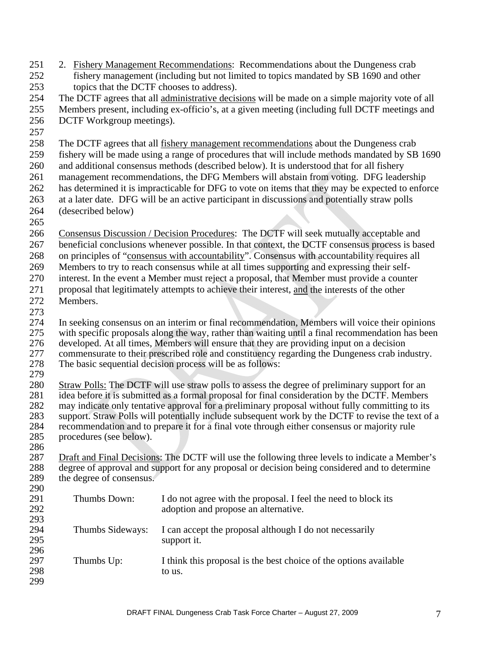| 251 | 2. Fishery Management Recommendations: Recommendations about the Dungeness crab       |
|-----|---------------------------------------------------------------------------------------|
| 252 | fishery management (including but not limited to topics mandated by SB 1690 and other |
| 253 | topics that the DCTF chooses to address).                                             |

- 254 The DCTF agrees that all administrative decisions will be made on a simple majority vote of all
- 255 Members present, including ex-officio's, at a given meeting (including full DCTF meetings and
- 256 DCTF Workgroup meetings).
- 257
- 258 The DCTF agrees that all fishery management recommendations about the Dungeness crab
- 259 fishery will be made using a range of procedures that will include methods mandated by SB 1690
- 260 and additional consensus methods (described below). It is understood that for all fishery
- 261 management recommendations, the DFG Members will abstain from voting. DFG leadership
- 262 has determined it is impracticable for DFG to vote on items that they may be expected to enforce
- 263 at a later date. DFG will be an active participant in discussions and potentially straw polls 264 (desecribed below)
- 265
- 266 Consensus Discussion / Decision Procedures: The DCTF will seek mutually acceptable and
- 267 beneficial conclusions whenever possible. In that context, the DCTF consensus process is based
- 268 on principles of "consensus with accountability". Consensus with accountability requires all
- 269 Members to try to reach consensus while at all times supporting and expressing their self-
- 270 interest. In the event a Member must reject a proposal, that Member must provide a counter
- 271 proposal that legitimately attempts to achieve their interest, and the interests of the other 272 Members.
- 273
- 274 In seeking consensus on an interim or final recommendation, Members will voice their opinions 275 with specific proposals along the way, rather than waiting until a final recommendation has been
- 276 developed. At all times, Members will ensure that they are providing input on a decision
- 277 commensurate to their prescribed role and constituency regarding the Dungeness crab industry.<br>278 The basic sequential decision process will be as follows:
- The basic sequential decision process will be as follows:
- 279
- 280 Straw Polls: The DCTF will use straw polls to assess the degree of preliminary support for an idea before it is submitted as a formal proposal for final consideration by the DCTF. Members idea before it is submitted as a formal proposal for final consideration by the DCTF. Members 282 may indicate only tentative approval for a preliminary proposal without fully committing to its 283 support. Straw Polls will potentially include subsequent work by the DCTF to revise the text of a<br>284 recommendation and to prepare it for a final vote through either consensus or majority rule 284 recommendation and to prepare it for a final vote through either consensus or majority rule<br>285 rocedures (see below). procedures (see below).
- 286
- 287 Draft and Final Decisions: The DCTF will use the following three levels to indicate a Member's 288 degree of approval and support for any proposal or decision being considered and to determine 289 the degree of consensus. 290

| 291<br>292 | Thumbs Down:     | I do not agree with the proposal. I feel the need to block its<br>adoption and propose an alternative. |
|------------|------------------|--------------------------------------------------------------------------------------------------------|
| 293        |                  |                                                                                                        |
| 294        | Thumbs Sideways: | I can accept the proposal although I do not necessarily                                                |
| 295        |                  | support it.                                                                                            |
| 296        |                  |                                                                                                        |
| 297        | Thumbs Up:       | I think this proposal is the best choice of the options available                                      |
| 298        |                  | to us.                                                                                                 |
| 299        |                  |                                                                                                        |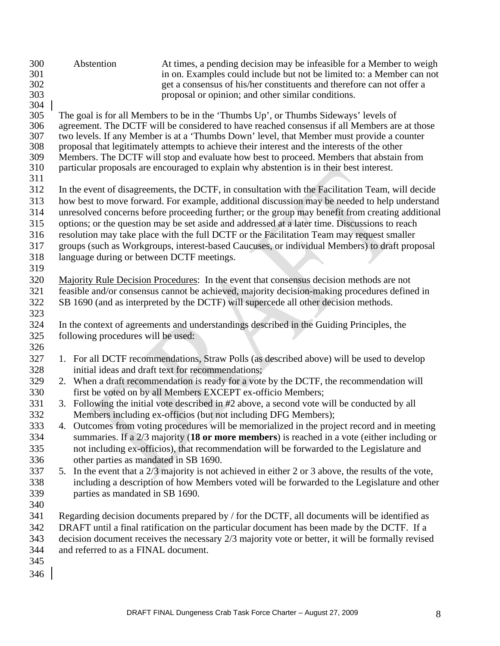| 300        | Abstention                                | At times, a pending decision may be infeasible for a Member to weigh                                                                                                                |
|------------|-------------------------------------------|-------------------------------------------------------------------------------------------------------------------------------------------------------------------------------------|
| 301        |                                           | in on. Examples could include but not be limited to: a Member can not                                                                                                               |
| 302        |                                           | get a consensus of his/her constituents and therefore can not offer a                                                                                                               |
| 303        |                                           | proposal or opinion; and other similar conditions.                                                                                                                                  |
| 304<br>305 |                                           |                                                                                                                                                                                     |
| 306        |                                           | The goal is for all Members to be in the 'Thumbs Up', or Thumbs Sideways' levels of<br>agreement. The DCTF will be considered to have reached consensus if all Members are at those |
| 307        |                                           | two levels. If any Member is at a 'Thumbs Down' level, that Member must provide a counter                                                                                           |
| 308        |                                           | proposal that legitimately attempts to achieve their interest and the interests of the other                                                                                        |
| 309        |                                           | Members. The DCTF will stop and evaluate how best to proceed. Members that abstain from                                                                                             |
| 310        |                                           | particular proposals are encouraged to explain why abstention is in their best interest.                                                                                            |
| 311        |                                           |                                                                                                                                                                                     |
| 312        |                                           | In the event of disagreements, the DCTF, in consultation with the Facilitation Team, will decide                                                                                    |
| 313        |                                           | how best to move forward. For example, additional discussion may be needed to help understand                                                                                       |
| 314        |                                           | unresolved concerns before proceeding further; or the group may benefit from creating additional                                                                                    |
| 315        |                                           | options; or the question may be set aside and addressed at a later time. Discussions to reach                                                                                       |
| 316        |                                           | resolution may take place with the full DCTF or the Facilitation Team may request smaller                                                                                           |
| 317        |                                           | groups (such as Workgroups, interest-based Caucuses, or individual Members) to draft proposal                                                                                       |
| 318        | language during or between DCTF meetings. |                                                                                                                                                                                     |
| 319        |                                           |                                                                                                                                                                                     |
| 320        |                                           | Majority Rule Decision Procedures: In the event that consensus decision methods are not                                                                                             |
| 321        |                                           | feasible and/or consensus cannot be achieved, majority decision-making procedures defined in                                                                                        |
| 322        |                                           | SB 1690 (and as interpreted by the DCTF) will supercede all other decision methods.                                                                                                 |
|            |                                           |                                                                                                                                                                                     |
| 323        |                                           |                                                                                                                                                                                     |
| 324        |                                           | In the context of agreements and understandings described in the Guiding Principles, the                                                                                            |
| 325        | following procedures will be used:        |                                                                                                                                                                                     |
| 326        |                                           |                                                                                                                                                                                     |
| 327        |                                           | 1. For all DCTF recommendations, Straw Polls (as described above) will be used to develop                                                                                           |
| 328        |                                           | initial ideas and draft text for recommendations;                                                                                                                                   |
| 329        |                                           | 2. When a draft recommendation is ready for a vote by the DCTF, the recommendation will                                                                                             |
| 330        |                                           | first be voted on by all Members EXCEPT ex-officio Members;                                                                                                                         |
| 331        |                                           | 3. Following the initial vote described in #2 above, a second vote will be conducted by all                                                                                         |
| 332        |                                           | Members including ex-officios (but not including DFG Members);                                                                                                                      |
| 333        |                                           | 4. Outcomes from voting procedures will be memorialized in the project record and in meeting                                                                                        |
| 334        |                                           | summaries. If a $2/3$ majority (18 or more members) is reached in a vote (either including or                                                                                       |
| 335        |                                           | not including ex-officios), that recommendation will be forwarded to the Legislature and                                                                                            |
| 336        | other parties as mandated in SB 1690.     |                                                                                                                                                                                     |
| 337        |                                           | 5. In the event that a 2/3 majority is not achieved in either 2 or 3 above, the results of the vote,                                                                                |
| 338        |                                           | including a description of how Members voted will be forwarded to the Legislature and other                                                                                         |
| 339        | parties as mandated in SB 1690.           |                                                                                                                                                                                     |
| 340        |                                           |                                                                                                                                                                                     |
| 341        |                                           | Regarding decision documents prepared by / for the DCTF, all documents will be identified as                                                                                        |
| 342        |                                           | DRAFT until a final ratification on the particular document has been made by the DCTF. If a                                                                                         |
| 343        |                                           | decision document receives the necessary 2/3 majority vote or better, it will be formally revised                                                                                   |
| 344        | and referred to as a FINAL document.      |                                                                                                                                                                                     |
| 345        |                                           |                                                                                                                                                                                     |
| 346        |                                           |                                                                                                                                                                                     |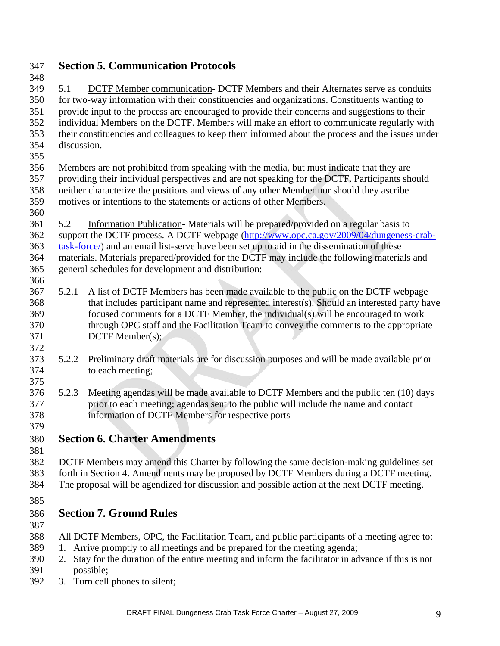### 347 **Section 5. Communication Protocols**

348 349 5.1 DCTF Member communication- DCTF Members and their Alternates serve as conduits 350 for two-way information with their constituencies and organizations. Constituents wanting to 351 provide input to the process are encouraged to provide their concerns and suggestions to their 352 individual Members on the DCTF. Members will make an effort to communicate regularly with 353 their constituencies and colleagues to keep them informed about the process and the issues under 354 discussion.

355

356 Members are not prohibited from speaking with the media, but must indicate that they are 357 providing their individual perspectives and are not speaking for the DCTF. Participants should 358 neither characterize the positions and views of any other Member nor should they ascribe 359 motives or intentions to the statements or actions of other Members.

360

366

372

361 5.2 Information Publication- Materials will be prepared/provided on a regular basis to

[362 support the DCTF process. A DCTF webpage \(http://www.opc.ca.gov/2009/04/dungeness-crab-](http://www.opc.ca.gov/2009/04/dungeness-crab-task-force/)363 [task-fo](http://www.opc.ca.gov/2009/04/dungeness-crab-task-force/)rce/) and an email list-serve have been set up to aid in the dissemination of these 364 materials. Materials prepared/provided for the DCTF may include the following materials and 365 general schedules for development and distribution:

- 367 5.2.1 A list of DCTF Members has been made available to the public on the DCTF webpage 368 that includes participant name and represented interest(s). Should an interested party have 369 focused comments for a DCTF Member, the individual(s) will be encouraged to work 370 through OPC staff and the Facilitation Team to convey the comments to the appropriate 371 DCTF Member(s);
- 373 5.2.2 Preliminary draft materials are for discussion purposes and will be made available prior 374 to each meeting; 375
- 376 5.2.3 Meeting agendas will be made available to DCTF Members and the public ten (10) days 377 prior to each meeting; agendas sent to the public will include the name and contact 378 information of DCTF Members for respective ports 379
- 380 **Section 6. Charter Amendments**
- 381

382 DCTF Members may amend this Charter by following the same decision-making guidelines set 383 forth in Section 4. Amendments may be proposed by DCTF Members during a DCTF meeting.

- 384 The proposal will be agendized for discussion and possible action at the next DCTF meeting.
- 385

# 386 **Section 7. Ground Rules**

- 387
- 388 All DCTF Members, OPC, the Facilitation Team, and public participants of a meeting agree to:
- 389 1. Arrive promptly to all meetings and be prepared for the meeting agenda;
- 390 2. Stay for the duration of the entire meeting and inform the facilitator in advance if this is not 391 possible;
- 392 3. Turn cell phones to silent;